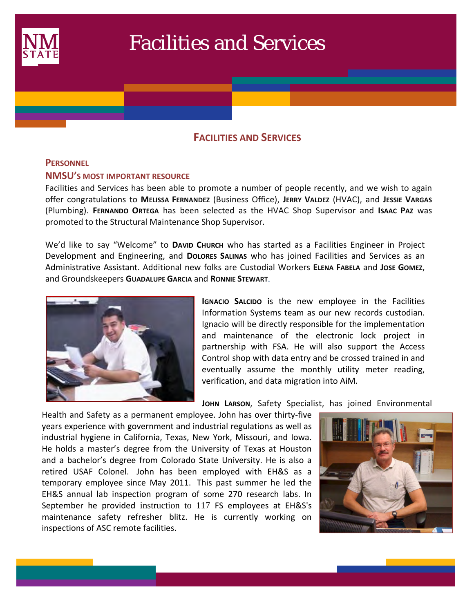

# Facilities and Services

## **FACILITIES AND SERVICES**

#### **PERSONNEL**

 $\mathcal{L}(\mathcal{L})$ 

#### **NMSU'S MOST IMPORTANT RESOURCE**

Facilities and Services has been able to promote a number of people recently, and we wish to again offer congratulations to **MELISSA FERNANDEZ** (Business Office), **JERRY VALDEZ** (HVAC), and **JESSIE VARGAS** (Plumbing). **FERNANDO ORTEGA** has been selected as the HVAC Shop Supervisor and **ISAAC PAZ** was promoted to the Structural Maintenance Shop Supervisor.

We'd like to say "Welcome" to **DAVID CHURCH** who has started as a Facilities Engineer in Project Development and Engineering, and **DOLORES SALINAS** who has joined Facilities and Services as an Administrative Assistant. Additional new folks are Custodial Workers **ELENA FABELA** and **JOSE GOMEZ**, and Groundskeepers **GUADALUPE GARCIA** and **RONNIE STEWART**.



**IGNACIO SALCIDO** is the new employee in the Facilities Information Systems team as our new records custodian. Ignacio will be directly responsible for the implementation and maintenance of the electronic lock project in partnership with FSA. He will also support the Access Control shop with data entry and be crossed trained in and eventually assume the monthly utility meter reading, verification, and data migration into AiM.

**JOHN LARSON**, Safety Specialist, has joined Environmental

Health and Safety as a permanent employee. John has over thirty-five years experience with government and industrial regulations as well as industrial hygiene in California, Texas, New York, Missouri, and Iowa. He holds a master's degree from the University of Texas at Houston and a bachelor's degree from Colorado State University. He is also a retired USAF Colonel. John has been employed with EH&S as a temporary employee since May 2011. This past summer he led the EH&S annual lab inspection program of some 270 research labs. In September he provided instruction to 117 FS employees at EH&S's maintenance safety refresher blitz. He is currently working on inspections of ASC remote facilities.

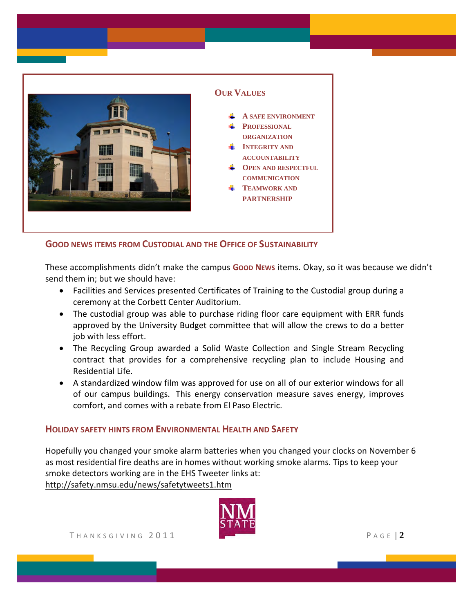

#### **GOOD NEWS ITEMS FROM CUSTODIAL AND THE OFFICE OF SUSTAINABILITY**

These accomplishments didn't make the campus Goop News items. Okay, so it was because we didn't send them in; but we should have:

- Facilities and Services presented Certificates of Training to the Custodial group during a ceremony at the Corbett Center Auditorium.
- The custodial group was able to purchase riding floor care equipment with ERR funds approved by the University Budget committee that will allow the crews to do a better job with less effort.
- The Recycling Group awarded a Solid Waste Collection and Single Stream Recycling contract that provides for a comprehensive recycling plan to include Housing and Residential Life.
- A standardized window film was approved for use on all of our exterior windows for all of our campus buildings. This energy conservation measure saves energy, improves comfort, and comes with a rebate from El Paso Electric.

#### **HOLIDAY SAFETY HINTS FROM ENVIRONMENTAL HEALTH AND SAFETY**

Hopefully you changed your smoke alarm batteries when you changed your clocks on November 6 as most residential fire deaths are in homes without working smoke alarms. Tips to keep your smoke detectors working are in the EHS Tweeter links at: http://safety.nmsu.edu/news/safetytweets1.htm

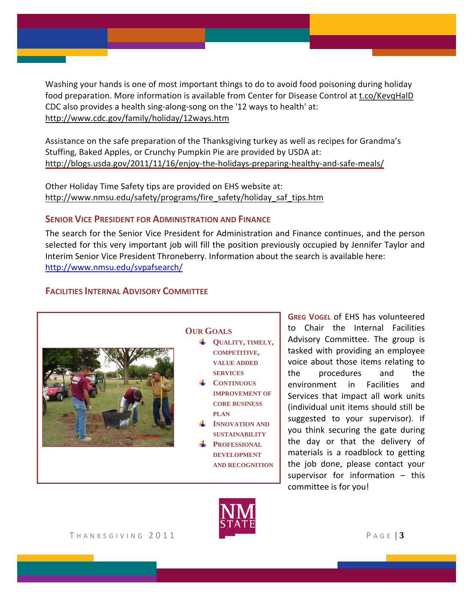Washing your hands is one of most important things to do to avoid food poisoning during holiday food preparation. More information is available from Center for Disease Control at [t.co/KevqHalD](http://www.foodsafety.gov/blog/handwashing.html) CDC also provides a health sing‐along‐song on the '12 ways to health' at: http://www.cdc.gov/family/holiday/12ways.htm

Assistance on the safe preparation of the Thanksgiving turkey as well as recipes for Grandma's Stuffing, Baked Apples, or Crunchy Pumpkin Pie are provided by USDA at: [http://blogs.usda.gov/2011/11/16/enjoy](http://blogs.usda.gov/2011/11/16/enjoy-the-holidays-preparing-healthy-and-safe-meals/)-the-holidays-preparing-healthy-and-safe-meals/

Other Holiday Time Safety tips are provided on EHS website at: http://www.nmsu.edu/safety/programs/fire\_safety/holiday\_saf\_tips.htm

#### **SENIOR VICE PRESIDENT FOR ADMINISTRATION AND FINANCE**

The search for the Senior Vice President for Administration and Finance continues, and the person selected for this very important job will fill the position previously occupied by Jennifer Taylor and Interim Senior Vice President Throneberry. Information about the search is available here: http://www.nmsu.edu/svpafsearch/

#### **FACILITIES INTERNAL ADVISORY COMMITTEE**



#### **OUR GOALS**

- **QUALITY, TIMELY, COMPETITIVE, VALUE ADDED SERVICES**
- **CONTINUOUS IMPROVEMENT OF CORE BUSINESS PLAN**
- **INNOVATION AND SUSTAINABILITY**
- **PROFESSIONAL DEVELOPMENT AND RECOGNITION**

**GREG VOGEL** of EHS has volunteered to Chair the Internal Facilities Advisory Committee. The group is tasked with providing an employee voice about those items relating to the procedures and the environment in Facilities and Services that impact all work units (individual unit items should still be suggested to your supervisor). If you think securing the gate during the day or that the delivery of materials is a roadblock to getting the job done, please contact your supervisor for information – this committee is for you!

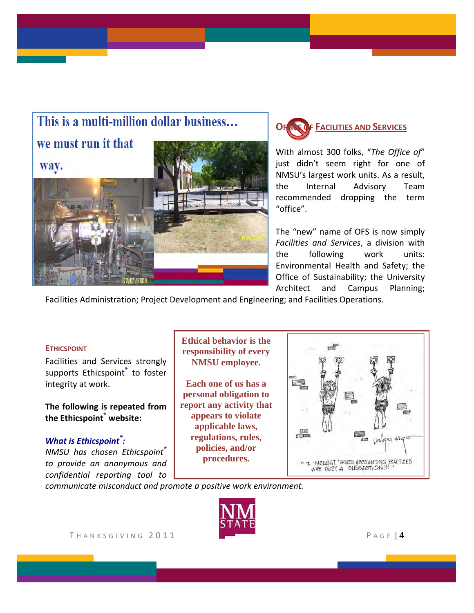# This is a multi-million dollar business...

we must run it that





With almost 300 folks, "*The Office of*" just didn't seem right for one of NMSU's largest work units. As a result, the Internal Advisory Team recommended dropping the term "office".

The "new" name of OFS is now simply *Facilities and Services*, a division with the following work units: Environmental Health and Safety; the Office of Sustainability; the University Architect and Campus Planning;

Facilities Administration; Project Development and Engineering; and Facilities Operations.

#### **ETHICSPOINT**

Facilities and Services strongly supports Ethicspoint**®** to foster integrity at work.

**The following is repeated from the Ethicspoint® website:**

### *What is Ethicspoint® :*

*NMSU has chosen Ethicspoint® to provide an anonymous and confidential reporting tool to*

**Ethical behavior is the responsibility of every NMSU employee.** 

**Each one of us has a personal obligation to report any activity that appears to violate applicable laws, regulations, rules, policies, and/or procedures.**



*communicate misconduct and promote a positive work environment.* 

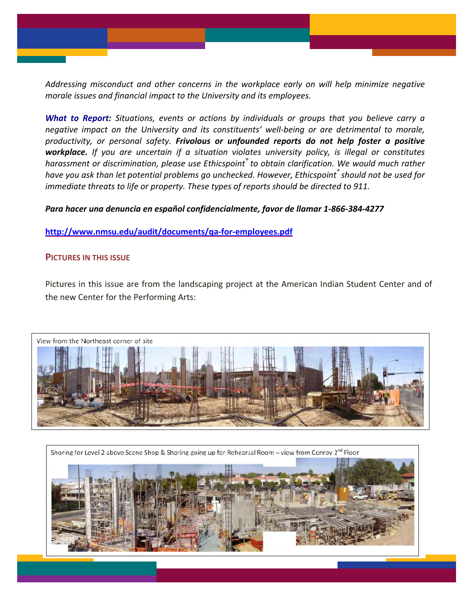*Addressing misconduct and other concerns in the workplace early on will help minimize negative morale issues and financial impact to the University and its employees.* 

*What to Report: Situations, events or actions by individuals or groups that you believe carry a negative impact on the University and its constituents' well‐being or are detrimental to morale, productivity, or personal safety. Frivolous or unfounded reports do not help foster a positive workplace. If you are uncertain if a situation violates university policy, is illegal or constitutes harassment or discrimination, please use Ethicspoint® to obtain clarification. We would much rather have you ask than let potential problems go unchecked. However, Ethicspoint® should not be used for immediate threats to life or property. These types of reports should be directed to 911.*

#### *Para hacer una denuncia en español confidencialmente, favor de llamar 1‐866‐384‐4277*

**[http://www.nmsu.edu/audit/documents/qa](http://www.nmsu.edu/audit/documents/qa-for-employees.pdf)‐for‐employees.pdf** 

#### **PICTURES IN THIS ISSUE**

Pictures in this issue are from the landscaping project at the American Indian Student Center and of the new Center for the Performing Arts: